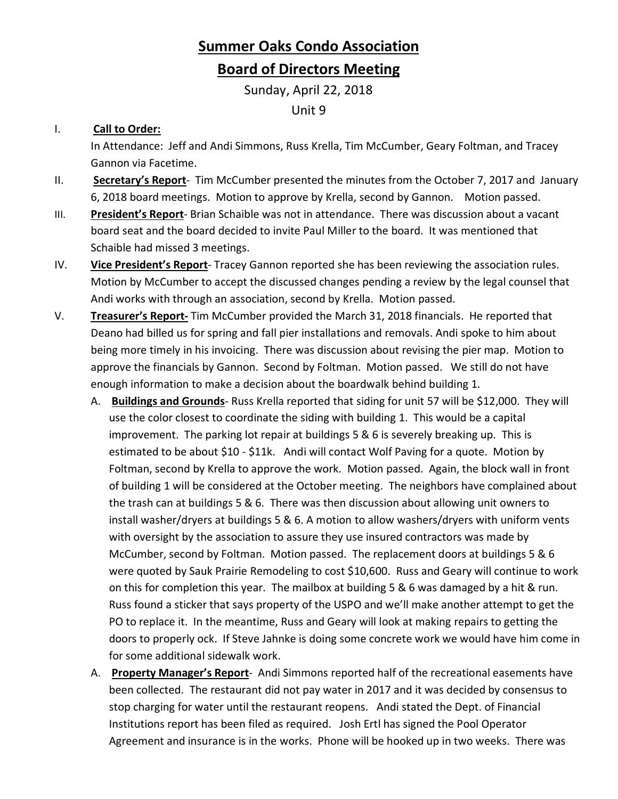## **Summer Oaks Condo Association Board of Directors Meeting**

Sunday, April 22, 2018 Unit 9

## I. **Call to Order:**

In Attendance: Jeff and Andi Simmons, Russ Krella, Tim McCumber, Geary Foltman, and Tracey Gannon via Facetime.

- II. **Secretary's Report** Tim McCumber presented the minutes from the October 7, 2017 and January 6, 2018 board meetings. Motion to approve by Krella, second by Gannon. Motion passed.
- III. **President's Report** Brian Schaible was not in attendance. There was discussion about a vacant board seat and the board decided to invite Paul Miller to the board. It was mentioned that Schaible had missed 3 meetings.
- IV. **Vice President's Report** Tracey Gannon reported she has been reviewing the association rules. Motion by McCumber to accept the discussed changes pending a review by the legal counsel that Andi works with through an association, second by Krella. Motion passed.
- V. **Treasurer's Report-** Tim McCumber provided the March 31, 2018 financials. He reported that Deano had billed us for spring and fall pier installations and removals. Andi spoke to him about being more timely in his invoicing. There was discussion about revising the pier map. Motion to approve the financials by Gannon. Second by Foltman. Motion passed. We still do not have enough information to make a decision about the boardwalk behind building 1.
	- A. **Buildings and Grounds** Russ Krella reported that siding for unit 57 will be \$12,000. They will use the color closest to coordinate the siding with building 1. This would be a capital improvement. The parking lot repair at buildings 5 & 6 is severely breaking up. This is estimated to be about \$10 - \$11k. Andi will contact Wolf Paving for a quote. Motion by Foltman, second by Krella to approve the work. Motion passed. Again, the block wall in front of building 1 will be considered at the October meeting. The neighbors have complained about the trash can at buildings 5 & 6. There was then discussion about allowing unit owners to install washer/dryers at buildings 5 & 6. A motion to allow washers/dryers with uniform vents with oversight by the association to assure they use insured contractors was made by McCumber, second by Foltman. Motion passed. The replacement doors at buildings 5 & 6 were quoted by Sauk Prairie Remodeling to cost \$10,600. Russ and Geary will continue to work on this for completion this year. The mailbox at building 5 & 6 was damaged by a hit & run. Russ found a sticker that says property of the USPO and we'll make another attempt to get the PO to replace it. In the meantime, Russ and Geary will look at making repairs to getting the doors to properly ock. If Steve Jahnke is doing some concrete work we would have him come in for some additional sidewalk work.
	- A. **Property Manager's Report** Andi Simmons reported half of the recreational easements have been collected. The restaurant did not pay water in 2017 and it was decided by consensus to stop charging for water until the restaurant reopens. Andi stated the Dept. of Financial Institutions report has been filed as required. Josh Ertl has signed the Pool Operator Agreement and insurance is in the works. Phone will be hooked up in two weeks. There was